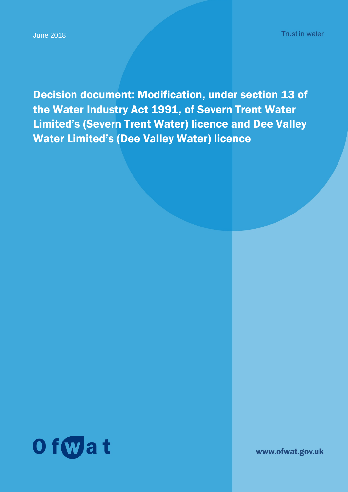Decision document: Modification, under section 13 of the Water Industry Act 1991, of Severn Trent Water Limited's (Severn Trent Water) licence and Dee Valley Water Limited's (Dee Valley Water) licence



www.ofwat.gov.uk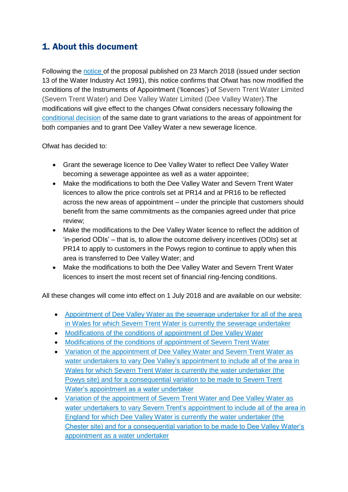#### 1. About this document

Following the [notice](https://www.ofwat.gov.uk/consultation/consultation-section-13-water-industry-act-1991-proposed-modification-severn-trent-water-limiteds-severn-trent-water-licence-include-powys-site-proposed-modifi/) of the proposal published on 23 March 2018 (issued under section 13 of the Water Industry Act 1991), this notice confirms that Ofwat has now modified the conditions of the Instruments of Appointment ('licences') of Severn Trent Water Limited (Severn Trent Water) and Dee Valley Water Limited (Dee Valley Water).The modifications will give effect to the changes Ofwat considers necessary following the [conditional decision](https://www.ofwat.gov.uk/publication/variation-severn-trent-water-limiteds-appointment-include-powys-site-variation-dee-valley-water-limiteds-appointment-include-chester-site/) of the same date to grant variations to the areas of appointment for both companies and to grant Dee Valley Water a new sewerage licence.

Ofwat has decided to:

- Grant the sewerage licence to Dee Valley Water to reflect Dee Valley Water becoming a sewerage appointee as well as a water appointee;
- Make the modifications to both the Dee Valley Water and Severn Trent Water licences to allow the price controls set at PR14 and at PR16 to be reflected across the new areas of appointment – under the principle that customers should benefit from the same commitments as the companies agreed under that price review;
- Make the modifications to the Dee Valley Water licence to reflect the addition of 'in-period ODIs' – that is, to allow the outcome delivery incentives (ODIs) set at PR14 to apply to customers in the Powys region to continue to apply when this area is transferred to Dee Valley Water; and
- Make the modifications to both the Dee Valley Water and Severn Trent Water licences to insert the most recent set of financial ring-fencing conditions.

All these changes will come into effect on 1 July 2018 and are available on our website:

- [Appointment of Dee Valley Water as the sewerage undertaker for all of the area](https://www.ofwat.gov.uk/publication/appointment-dee-valley-water-sewerage-undertaker-area-wales-severn-trent-water-currently-sewerage-undertaker/)  [in Wales for which Severn Trent Water is currently the sewerage undertaker](https://www.ofwat.gov.uk/publication/appointment-dee-valley-water-sewerage-undertaker-area-wales-severn-trent-water-currently-sewerage-undertaker/)
- Modifications of the conditions of [appointment of Dee Valley Water](https://www.ofwat.gov.uk/publication/modifications-conditions-appointment-dee-valley-water/)
- [Modifications of the conditions of appointment of Severn Trent Water](https://www.ofwat.gov.uk/publication/modifications-conditions-appointment-severn-trent-water/)
- [Variation of the appointment of Dee Valley Water and Severn Trent Water as](https://www.ofwat.gov.uk/publication/variation-appointment-dee-valley-water-severn-trent-water-water-undertakers-vary-dee-valleys-appointment-include-area-wales-severn-trent-water/)  water undertaker[s to vary Dee Valley's appointment to include all of the area in](https://www.ofwat.gov.uk/publication/variation-appointment-dee-valley-water-severn-trent-water-water-undertakers-vary-dee-valleys-appointment-include-area-wales-severn-trent-water/)  [Wales for which Severn Trent Water is currently the water undertaker \(the](https://www.ofwat.gov.uk/publication/variation-appointment-dee-valley-water-severn-trent-water-water-undertakers-vary-dee-valleys-appointment-include-area-wales-severn-trent-water/)  [Powys site\) and for a consequential variation to be made to Severn Trent](https://www.ofwat.gov.uk/publication/variation-appointment-dee-valley-water-severn-trent-water-water-undertakers-vary-dee-valleys-appointment-include-area-wales-severn-trent-water/)  [Water's appointment as a water undertaker](https://www.ofwat.gov.uk/publication/variation-appointment-dee-valley-water-severn-trent-water-water-undertakers-vary-dee-valleys-appointment-include-area-wales-severn-trent-water/)
- [Variation of the appointment of Severn Trent Water and Dee Valley Water as](https://www.ofwat.gov.uk/publication/variation-appointment-severn-trent-water-dee-valley-water-water-undertakers-vary-severn-trents-appointment-include-area-england-dee-valley-water/)  [water undertakers to vary Severn Trent's appointment to include all of the area in](https://www.ofwat.gov.uk/publication/variation-appointment-severn-trent-water-dee-valley-water-water-undertakers-vary-severn-trents-appointment-include-area-england-dee-valley-water/)  England [for which Dee Valley Water is currently the water undertaker \(the](https://www.ofwat.gov.uk/publication/variation-appointment-severn-trent-water-dee-valley-water-water-undertakers-vary-severn-trents-appointment-include-area-england-dee-valley-water/)  [Chester site\) and for a consequential variation to be made to Dee Valley Water's](https://www.ofwat.gov.uk/publication/variation-appointment-severn-trent-water-dee-valley-water-water-undertakers-vary-severn-trents-appointment-include-area-england-dee-valley-water/)  [appointment as a water undertaker](https://www.ofwat.gov.uk/publication/variation-appointment-severn-trent-water-dee-valley-water-water-undertakers-vary-severn-trents-appointment-include-area-england-dee-valley-water/)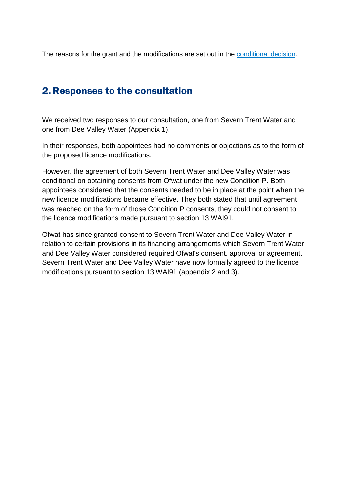The reasons for the grant and the modifications are set out in the [conditional decision.](https://www.ofwat.gov.uk/publication/variation-severn-trent-water-limiteds-appointment-include-powys-site-variation-dee-valley-water-limiteds-appointment-include-chester-site/)

#### 2.Responses to the consultation

We received two responses to our consultation, one from Severn Trent Water and one from Dee Valley Water (Appendix 1).

In their responses, both appointees had no comments or objections as to the form of the proposed licence modifications.

However, the agreement of both Severn Trent Water and Dee Valley Water was conditional on obtaining consents from Ofwat under the new Condition P. Both appointees considered that the consents needed to be in place at the point when the new licence modifications became effective. They both stated that until agreement was reached on the form of those Condition P consents, they could not consent to the licence modifications made pursuant to section 13 WAI91.

Ofwat has since granted consent to Severn Trent Water and Dee Valley Water in relation to certain provisions in its financing arrangements which Severn Trent Water and Dee Valley Water considered required Ofwat's consent, approval or agreement. Severn Trent Water and Dee Valley Water have now formally agreed to the licence modifications pursuant to section 13 WAI91 (appendix 2 and 3).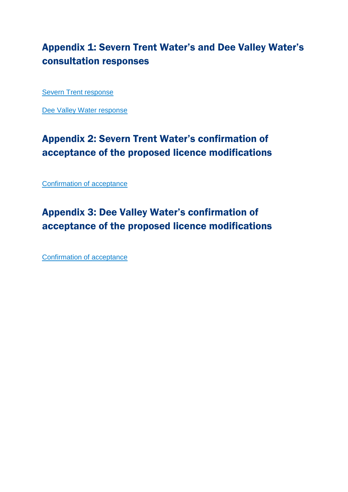## Appendix 1: Severn Trent Water's and Dee Valley Water's consultation responses

[Severn Trent response](https://www.ofwat.gov.uk/publication/severn-trent-dee-valley-water-licence-modifications-consultation-response-severn-trent/)

[Dee Valley Water response](https://www.ofwat.gov.uk/publication/severn-trent-dee-valley-water-licence-modifications-consultation-response-dee-valley-water/)

## Appendix 2: Severn Trent Water's confirmation of acceptance of the proposed licence modifications

[Confirmation of acceptance](https://www.ofwat.gov.uk/publication/severn-trent-waters-confirmation-acceptance-proposed-licence-modifications/)

# Appendix 3: Dee Valley Water's confirmation of acceptance of the proposed licence modifications

[Confirmation of acceptance](https://www.ofwat.gov.uk/publication/dee-valley-waters-confirmation-acceptance-proposed-licence-modifications/)